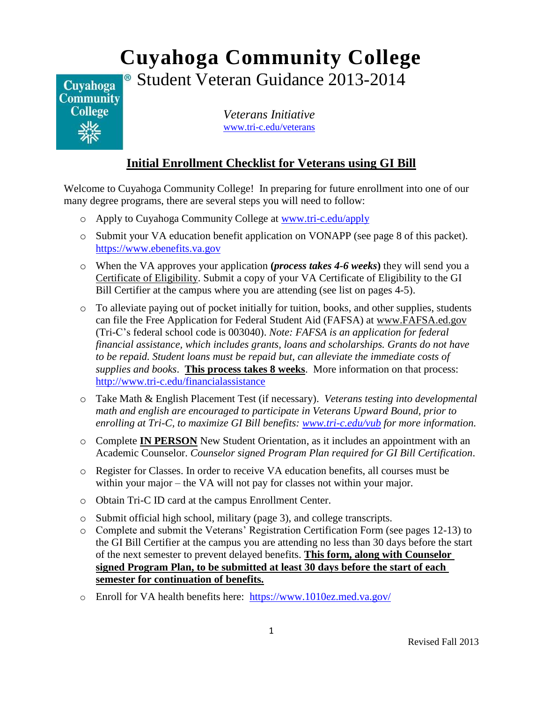# **Cuyahoga Community College** <sup>®</sup> Student Veteran Guidance 2013-2014



 *Veterans Initiative* [www.tri-c.edu/veterans](http://www.tri-c.edu/veterans)

## **Initial Enrollment Checklist for Veterans using GI Bill**

Welcome to Cuyahoga Community College! In preparing for future enrollment into one of our many degree programs, there are several steps you will need to follow:

- o Apply to Cuyahoga Community College at [www.tri-c.edu/apply](http://www.tri-c.edu/apply)
- o Submit your VA education benefit application on VONAPP (see page 8 of this packet). [https://www.ebenefits.va.gov](https://www.ebenefits.va.gov/)
- o When the VA approves your application **(***process takes 4-6 weeks***)** they will send you a Certificate of Eligibility. Submit a copy of your VA Certificate of Eligibility to the GI Bill Certifier at the campus where you are attending (see list on pages 4-5).
- $\circ$  To alleviate paying out of pocket initially for tuition, books, and other supplies, students can file the Free Application for Federal Student Aid (FAFSA) at [www.FAFSA.ed.gov](http://www.fafsa.ed.gov/) (Tri-C's federal school code is 003040). *Note: FAFSA is an application for federal financial assistance, which includes grants, loans and scholarships. Grants do not have to be repaid. Student loans must be repaid but, can alleviate the immediate costs of supplies and books*. **This process takes 8 weeks**. More information on that process: [http://www.tri-c.edu/financialassistance](http://www.tri-c.edu/financialassistance/Pages/FinancialAid%20Apply.aspx)
- o Take Math & English Placement Test (if necessary). *Veterans testing into developmental math and english are encouraged to participate in Veterans Upward Bound, prior to enrolling at Tri-C, to maximize GI Bill benefits: [www.tri-c.edu/vub](http://www.tri-c.edu/vub) for more information.*
- o Complete **IN PERSON** New Student Orientation, as it includes an appointment with an Academic Counselor. *Counselor signed Program Plan required for GI Bill Certification*.
- o Register for Classes. In order to receive VA education benefits, all courses must be within your major – the VA will not pay for classes not within your major.
- o Obtain Tri-C ID card at the campus Enrollment Center.
- o Submit official high school, military (page 3), and college transcripts.
- o Complete and submit the Veterans' Registration Certification Form (see pages 12-13) to the GI Bill Certifier at the campus you are attending no less than 30 days before the start of the next semester to prevent delayed benefits. **This form, along with Counselor signed Program Plan, to be submitted at least 30 days before the start of each semester for continuation of benefits.**
- o Enroll for VA health benefits here: <https://www.1010ez.med.va.gov/>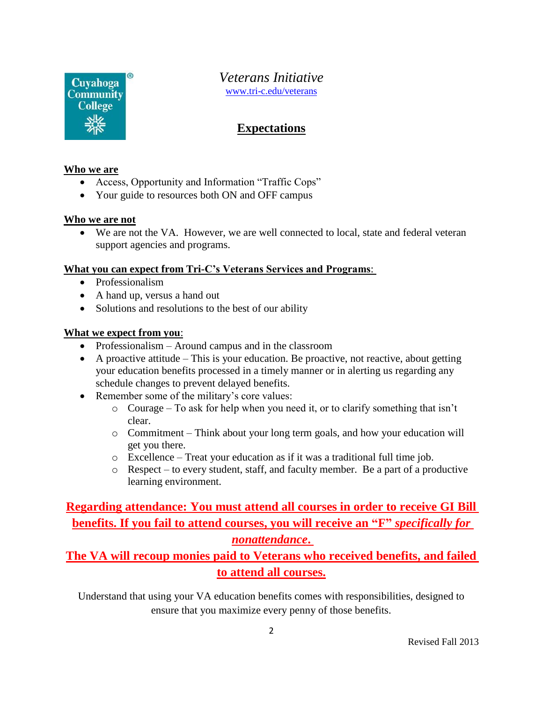

## **Expectations**

#### **Who we are**

- Access, Opportunity and Information "Traffic Cops"
- Your guide to resources both ON and OFF campus

#### **Who we are not**

 We are not the VA. However, we are well connected to local, state and federal veteran support agencies and programs.

#### **What you can expect from Tri-C's Veterans Services and Programs**:

- Professionalism
- A hand up, versus a hand out
- Solutions and resolutions to the best of our ability

#### **What we expect from you**:

- Professionalism Around campus and in the classroom
- $\bullet$  A proactive attitude This is your education. Be proactive, not reactive, about getting your education benefits processed in a timely manner or in alerting us regarding any schedule changes to prevent delayed benefits.
- Remember some of the military's core values:
	- o Courage To ask for help when you need it, or to clarify something that isn't clear.
	- o Commitment Think about your long term goals, and how your education will get you there.
	- o Excellence Treat your education as if it was a traditional full time job.
	- o Respect to every student, staff, and faculty member. Be a part of a productive learning environment.

**Regarding attendance: You must attend all courses in order to receive GI Bill benefits. If you fail to attend courses, you will receive an "F"** *specifically for nonattendance***.** 

## **The VA will recoup monies paid to Veterans who received benefits, and failed to attend all courses.**

Understand that using your VA education benefits comes with responsibilities, designed to ensure that you maximize every penny of those benefits.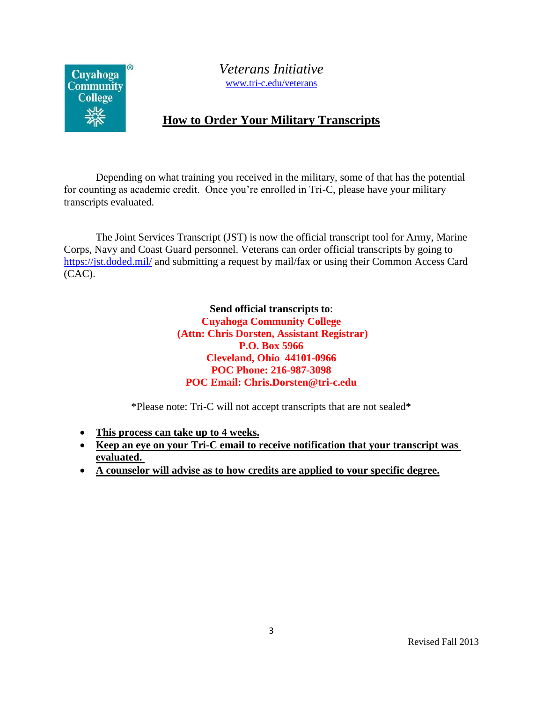**® Cuvahoga Community College** 

*Veterans Initiative* [www.tri-c.edu/veterans](http://www.tri-c.edu/veterans)

## **How to Order Your Military Transcripts**

Depending on what training you received in the military, some of that has the potential for counting as academic credit. Once you're enrolled in Tri-C, please have your military transcripts evaluated.

The Joint Services Transcript (JST) is now the official transcript tool for Army, Marine Corps, Navy and Coast Guard personnel. Veterans can order official transcripts by going to <https://jst.doded.mil/> and submitting a request by mail/fax or using their Common Access Card (CAC).

> **Send official transcripts to**: **Cuyahoga Community College (Attn: Chris Dorsten, Assistant Registrar) P.O. Box 5966 Cleveland, Ohio 44101-0966 POC Phone: 216-987-3098 POC Email: Chris.Dorsten@tri-c.edu**

\*Please note: Tri-C will not accept transcripts that are not sealed\*

- **This process can take up to 4 weeks.**
- **Keep an eye on your Tri-C email to receive notification that your transcript was evaluated.**
- **A counselor will advise as to how credits are applied to your specific degree.**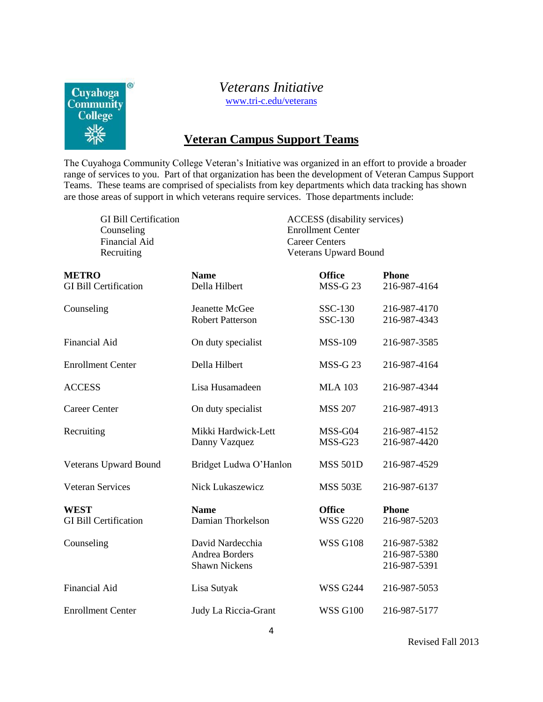

### *Veterans Initiative*

[www.tri-c.edu/veterans](http://www.tri-c.edu/veterans)

## **Veteran Campus Support Teams**

The Cuyahoga Community College Veteran's Initiative was organized in an effort to provide a broader range of services to you. Part of that organization has been the development of Veteran Campus Support Teams. These teams are comprised of specialists from key departments which data tracking has shown are those areas of support in which veterans require services. Those departments include:

| <b>GI Bill Certification</b><br>Counseling<br><b>Financial Aid</b><br>Recruiting |                                                            | ACCESS (disability services)<br><b>Enrollment Center</b><br><b>Career Centers</b><br>Veterans Upward Bound |                                              |
|----------------------------------------------------------------------------------|------------------------------------------------------------|------------------------------------------------------------------------------------------------------------|----------------------------------------------|
| <b>METRO</b><br><b>GI Bill Certification</b>                                     | <b>Name</b><br>Della Hilbert                               | <b>Office</b><br><b>MSS-G23</b>                                                                            | <b>Phone</b><br>216-987-4164                 |
| Counseling                                                                       | Jeanette McGee<br><b>Robert Patterson</b>                  | SSC-130<br>SSC-130                                                                                         | 216-987-4170<br>216-987-4343                 |
| <b>Financial Aid</b>                                                             | On duty specialist                                         | <b>MSS-109</b>                                                                                             | 216-987-3585                                 |
| <b>Enrollment Center</b>                                                         | Della Hilbert                                              | <b>MSS-G23</b>                                                                                             | 216-987-4164                                 |
| <b>ACCESS</b>                                                                    | Lisa Husamadeen                                            | <b>MLA 103</b>                                                                                             | 216-987-4344                                 |
| <b>Career Center</b>                                                             | On duty specialist                                         | <b>MSS 207</b>                                                                                             | 216-987-4913                                 |
| Recruiting                                                                       | Mikki Hardwick-Lett<br>Danny Vazquez                       | MSS-G04<br>MSS-G23                                                                                         | 216-987-4152<br>216-987-4420                 |
| <b>Veterans Upward Bound</b>                                                     | Bridget Ludwa O'Hanlon                                     | <b>MSS 501D</b>                                                                                            | 216-987-4529                                 |
| <b>Veteran Services</b>                                                          | Nick Lukaszewicz                                           | <b>MSS 503E</b>                                                                                            | 216-987-6137                                 |
| <b>WEST</b><br><b>GI Bill Certification</b>                                      | <b>Name</b><br>Damian Thorkelson                           | <b>Office</b><br><b>WSS G220</b>                                                                           | <b>Phone</b><br>216-987-5203                 |
| Counseling                                                                       | David Nardecchia<br>Andrea Borders<br><b>Shawn Nickens</b> | <b>WSS G108</b>                                                                                            | 216-987-5382<br>216-987-5380<br>216-987-5391 |
| <b>Financial Aid</b>                                                             | Lisa Sutyak                                                | <b>WSS G244</b>                                                                                            | 216-987-5053                                 |
| <b>Enrollment Center</b>                                                         | Judy La Riccia-Grant                                       | <b>WSS G100</b>                                                                                            | 216-987-5177                                 |
|                                                                                  |                                                            |                                                                                                            |                                              |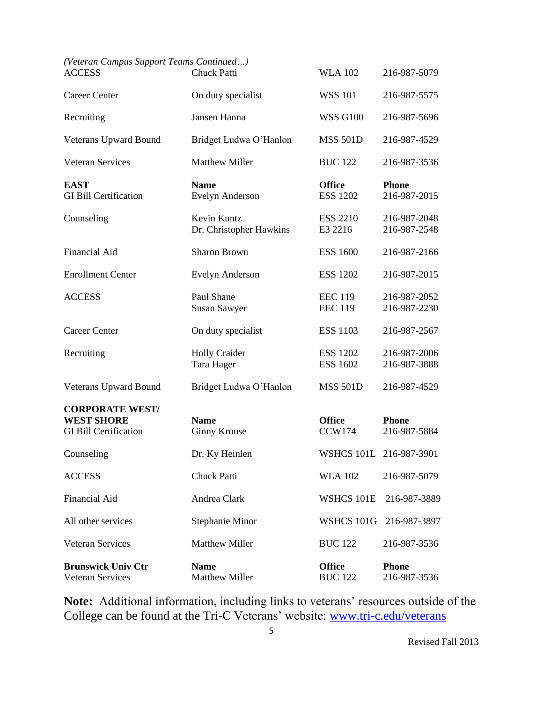| (Veteran Campus Support Teams Continued)<br><b>ACCESS</b>                   | <b>Chuck Patti</b>                     | <b>WLA 102</b>                     | 216-987-5079                 |
|-----------------------------------------------------------------------------|----------------------------------------|------------------------------------|------------------------------|
| <b>Career Center</b>                                                        | On duty specialist                     | <b>WSS 101</b>                     | 216-987-5575                 |
| Recruiting                                                                  | Jansen Hanna                           | <b>WSS G100</b>                    | 216-987-5696                 |
| <b>Veterans Upward Bound</b>                                                | Bridget Ludwa O'Hanlon                 | <b>MSS 501D</b>                    | 216-987-4529                 |
| <b>Veteran Services</b>                                                     | <b>Matthew Miller</b>                  | <b>BUC 122</b>                     | 216-987-3536                 |
| <b>EAST</b><br><b>GI Bill Certification</b>                                 | <b>Name</b><br>Evelyn Anderson         | <b>Office</b><br><b>ESS 1202</b>   | <b>Phone</b><br>216-987-2015 |
| Counseling                                                                  | Kevin Kuntz<br>Dr. Christopher Hawkins | <b>ESS 2210</b><br>E3 2216         | 216-987-2048<br>216-987-2548 |
| Financial Aid                                                               | <b>Sharon Brown</b>                    | <b>ESS 1600</b>                    | 216-987-2166                 |
| <b>Enrollment Center</b>                                                    | Evelyn Anderson                        | <b>ESS 1202</b>                    | 216-987-2015                 |
| <b>ACCESS</b>                                                               | Paul Shane<br><b>Susan Sawyer</b>      | <b>EEC 119</b><br><b>EEC 119</b>   | 216-987-2052<br>216-987-2230 |
| <b>Career Center</b>                                                        | On duty specialist                     | <b>ESS 1103</b>                    | 216-987-2567                 |
| Recruiting                                                                  | <b>Holly Craider</b><br>Tara Hager     | <b>ESS 1202</b><br><b>ESS 1602</b> | 216-987-2006<br>216-987-3888 |
| <b>Veterans Upward Bound</b>                                                | Bridget Ludwa O'Hanlon                 | <b>MSS 501D</b>                    | 216-987-4529                 |
| <b>CORPORATE WEST/</b><br><b>WEST SHORE</b><br><b>GI Bill Certification</b> | <b>Name</b><br><b>Ginny Krouse</b>     | <b>Office</b><br><b>CCW174</b>     | <b>Phone</b><br>216-987-5884 |
| Counseling                                                                  | Dr. Ky Heinlen                         | WSHCS 101L 216-987-3901            |                              |
| <b>ACCESS</b>                                                               | Chuck Patti                            | <b>WLA 102</b>                     | 216-987-5079                 |
| Financial Aid                                                               | Andrea Clark                           | WSHCS 101E                         | 216-987-3889                 |
| All other services                                                          | Stephanie Minor                        | WSHCS 101G                         | 216-987-3897                 |
| <b>Veteran Services</b>                                                     | <b>Matthew Miller</b>                  | <b>BUC 122</b>                     | 216-987-3536                 |
| <b>Brunswick Univ Ctr</b><br><b>Veteran Services</b>                        | <b>Name</b><br><b>Matthew Miller</b>   | <b>Office</b><br><b>BUC 122</b>    | <b>Phone</b><br>216-987-3536 |

**Note:** Additional information, including links to veterans' resources outside of the College can be found at the Tri-C Veterans' website: www.tri-c.edu/veterans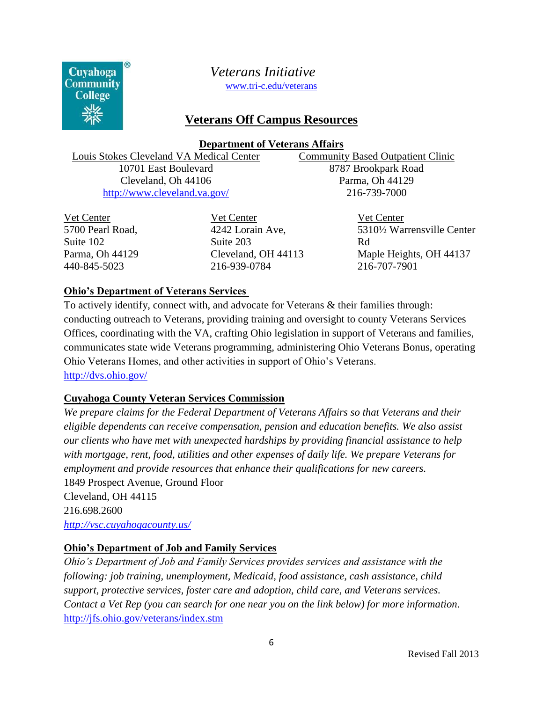

## **Veterans Off Campus Resources**

**Department of Veterans Affairs**

Louis Stokes Cleveland VA Medical Center Community Based Outpatient Clinic

10701 East Boulevard Cleveland, Oh 44106 <http://www.cleveland.va.gov/> 8787 Brookpark Road Parma, Oh 44129 216-739-7000

Vet Center 5700 Pearl Road, Suite 102 Parma, Oh 44129 440-845-5023

Vet Center 4242 Lorain Ave, Suite 203 Cleveland, OH 44113 216-939-0784

Vet Center 5310½ Warrensville Center Rd Maple Heights, OH 44137 216-707-7901

#### **Ohio's Department of Veterans Services**

To actively identify, connect with, and advocate for Veterans & their families through: conducting outreach to Veterans, providing training and oversight to county Veterans Services Offices, coordinating with the VA, crafting Ohio legislation in support of Veterans and families, communicates state wide Veterans programming, administering Ohio Veterans Bonus, operating Ohio Veterans Homes, and other activities in support of Ohio's Veterans. <http://dvs.ohio.gov/>

#### **Cuyahoga County Veteran Services Commission**

*We prepare claims for the Federal Department of Veterans Affairs so that Veterans and their eligible dependents can receive compensation, pension and education benefits. We also assist our clients who have met with unexpected hardships by providing financial assistance to help with mortgage, rent, food, utilities and other expenses of daily life. We prepare Veterans for employment and provide resources that enhance their qualifications for new careers.*  1849 Prospect Avenue, Ground Floor Cleveland, OH 44115 216.698.2600 *<http://vsc.cuyahogacounty.us/>*

#### **Ohio's Department of Job and Family Services**

*Ohio's Department of Job and Family Services provides services and assistance with the following: job training, unemployment, Medicaid, food assistance, cash assistance, child support, protective services, foster care and adoption, child care, and Veterans services. Contact a Vet Rep (you can search for one near you on the link below) for more information*. <http://jfs.ohio.gov/veterans/index.stm>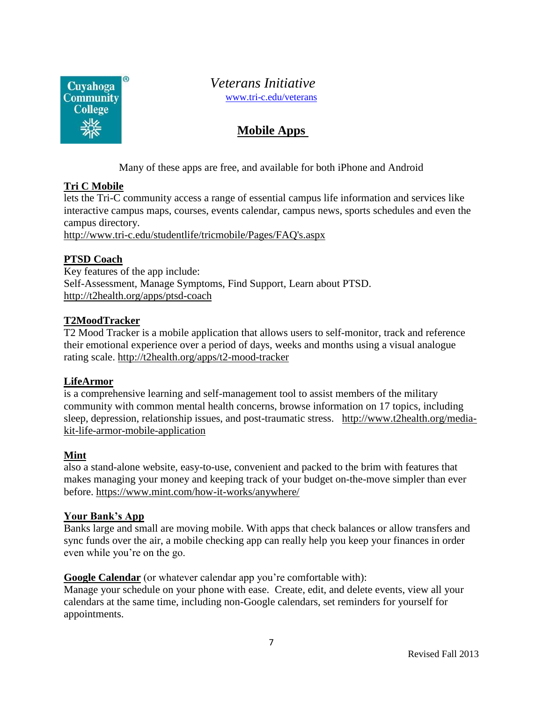

## **Mobile Apps**

Many of these apps are free, and available for both iPhone and Android

#### **Tri C Mobile**

lets the Tri-C community access a range of essential campus life information and services like interactive campus maps, courses, events calendar, campus news, sports schedules and even the campus directory.

[http://www.tri-c.edu/studentlife/tricmobile/Pages/FAQ's.aspx](http://www.tri-c.edu/studentlife/tricmobile/Pages/FAQ)

#### **PTSD Coach**

Key features of the app include: Self-Assessment, Manage Symptoms, Find Support, Learn about PTSD. <http://t2health.org/apps/ptsd-coach>

#### **T2MoodTracker**

T2 Mood Tracker is a mobile application that allows users to self-monitor, track and reference their emotional experience over a period of days, weeks and months using a visual analogue rating scale.<http://t2health.org/apps/t2-mood-tracker>

#### **LifeArmor**

is a comprehensive learning and self-management tool to assist members of the military community with common mental health concerns, browse information on 17 topics, including sleep, depression, relationship issues, and post-traumatic stress. [http://www.t2health.org/media](http://www.t2health.org/media-kit-life-armor-mobile-application)[kit-life-armor-mobile-application](http://www.t2health.org/media-kit-life-armor-mobile-application)

#### **Mint**

also a stand-alone website, easy-to-use, convenient and packed to the brim with features that makes managing your money and keeping track of your budget on-the-move simpler than ever before.<https://www.mint.com/how-it-works/anywhere/>

#### **Your Bank's App**

Banks large and small are moving mobile. With apps that check balances or allow transfers and sync funds over the air, a mobile checking app can really help you keep your finances in order even while you're on the go.

#### **Google Calendar** (or whatever calendar app you're comfortable with):

Manage your schedule on your phone with ease. Create, edit, and delete events, view all your calendars at the same time, including non-Google calendars, set reminders for yourself for appointments.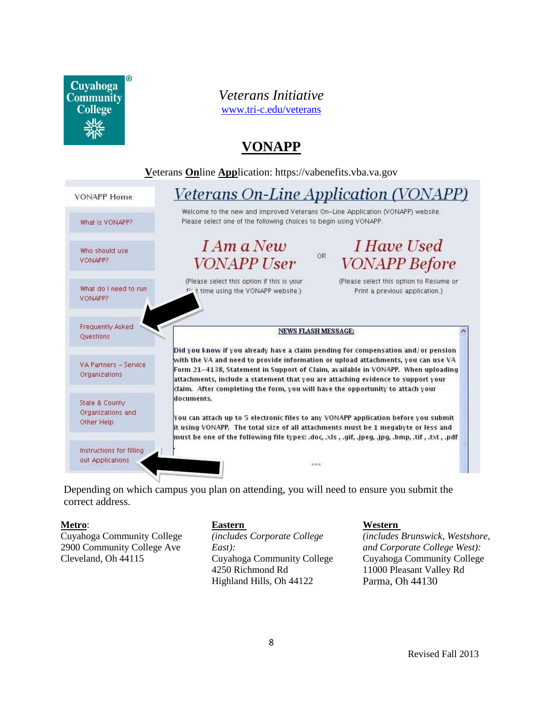

## *Veterans Initiative*

[www.tri-c.edu/veterans](http://www.tri-c.edu/veterans)

# **VONAPP**

**V**eterans **On**line **App**lication: https://vabenefits.vba.va.gov



Depending on which campus you plan on attending, you will need to ensure you submit the correct address.

#### **Metro**:

Cuyahoga Community College 2900 Community College Ave Cleveland, Oh 44115

**Eastern**  *(includes Corporate College East):* Cuyahoga Community College 4250 Richmond Rd Highland Hills, Oh 44122

#### **Western**

*(includes Brunswick, Westshore, and Corporate College West):* Cuyahoga Community College 11000 Pleasant Valley Rd Parma, Oh 44130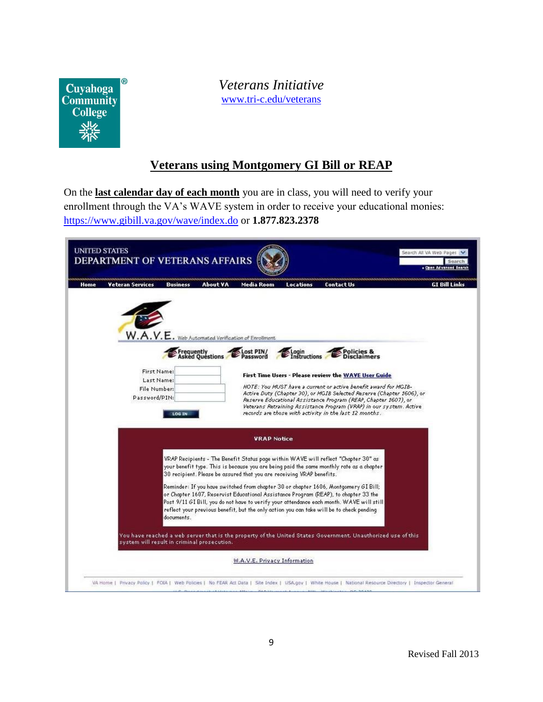

## **Veterans using Montgomery GI Bill or REAP**

On the **last calendar day of each month** you are in class, you will need to verify your enrollment through the VA's WAVE system in order to receive your educational monies: <https://www.gibill.va.gov/wave/index.do> or **1.877.823.2378**

| <b>UNITED STATES</b> | DEPARTMENT OF VETERANS AFFAIRS                                              |                                                                                                                                                                                                                                                                                                                                                                                                                                                                                                                                                                                                                               |                                                                                                                                                                                                                                                                                                  | Search All VA Web Pages<br><b>Coan Advanced Search</b> |
|----------------------|-----------------------------------------------------------------------------|-------------------------------------------------------------------------------------------------------------------------------------------------------------------------------------------------------------------------------------------------------------------------------------------------------------------------------------------------------------------------------------------------------------------------------------------------------------------------------------------------------------------------------------------------------------------------------------------------------------------------------|--------------------------------------------------------------------------------------------------------------------------------------------------------------------------------------------------------------------------------------------------------------------------------------------------|--------------------------------------------------------|
| <b>Home</b>          | <b>Veteran Services</b><br><b>Business</b>                                  | About VA<br><b>Media Room</b><br><b>Locations</b>                                                                                                                                                                                                                                                                                                                                                                                                                                                                                                                                                                             | <b>Contact Us</b>                                                                                                                                                                                                                                                                                | <b>GI Bill Links</b>                                   |
|                      | First Name:<br>Last Name:<br>File Number:<br>Password/PIN:<br><b>LOG IN</b> | W.A.V.E. Web Automated Verification of Enrollment<br>Frequently<br>Asked Questions<br>Lost PIN/<br>ogin<br>Instructions<br>Password<br>First Time Users - Please review the WAVE User Guide<br>records are those with activity in the last 12 months.                                                                                                                                                                                                                                                                                                                                                                         | Policies &<br>NOTE: You MUST have a current or active benefit award for MGIB-<br>Active Duty (Chapter 30), or MGIB Selected Reserve (Chapter 1606), or<br>Reserve Educational Assistance Program (REAP, Chapter 1607), or<br>Veterans Retraining Assistance Program (VRAP) in our system. Active |                                                        |
|                      |                                                                             | <b>VRAP Notice</b>                                                                                                                                                                                                                                                                                                                                                                                                                                                                                                                                                                                                            |                                                                                                                                                                                                                                                                                                  |                                                        |
|                      | documents.                                                                  | VRAP Recipients - The Benefit Status page within WAVE will reflect "Chapter 30" as<br>your benefit type. This is because you are being paid the same monthly rate as a chapter<br>30 recipient. Please be assured that you are receiving VRAP benefits.<br>Reminder: If you have switched from chapter 30 or chapter 1606, Montgomery GI Bill;<br>or Chapter 1607, Reservist Educational Assistance Program (REAP), to chapter 33 the<br>Post 9/11 GI Bill, you do not have to verify your attendance each month. WAVE will still<br>reflect your previous benefit, but the only action you can take will be to check pending |                                                                                                                                                                                                                                                                                                  |                                                        |
|                      | system will result in criminal prosecution.                                 | You have reached a web server that is the property of the United States Government. Unauthorized use of this '                                                                                                                                                                                                                                                                                                                                                                                                                                                                                                                |                                                                                                                                                                                                                                                                                                  |                                                        |
|                      |                                                                             | W.A.V.E. Privacy Information                                                                                                                                                                                                                                                                                                                                                                                                                                                                                                                                                                                                  |                                                                                                                                                                                                                                                                                                  |                                                        |
|                      |                                                                             | VA Home   Privacy Policy   FOIA   Web Policies   No FEAR Act Data   Site Index   USA.gov   White House   National Resource Directory   Inspector General                                                                                                                                                                                                                                                                                                                                                                                                                                                                      |                                                                                                                                                                                                                                                                                                  |                                                        |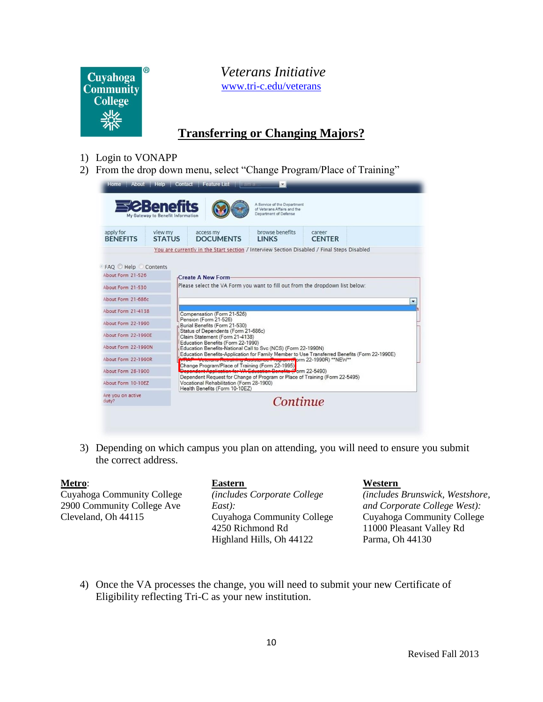

## **Transferring or Changing Majors?**

- 1) Login to VONAPP
- 2) From the drop down menu, select "Change Program/Place of Training"

|                                                                                                              | <b>SCBenefits</b><br>My Gateway to Benefit Information |                       |                                                                            | A Service of the Department<br>of Veterans Affairs and the<br>Department of Defense                     |                         |  |
|--------------------------------------------------------------------------------------------------------------|--------------------------------------------------------|-----------------------|----------------------------------------------------------------------------|---------------------------------------------------------------------------------------------------------|-------------------------|--|
| apply for<br><b>BENEFITS</b>                                                                                 | view my<br><b>STATUS</b>                               | access my             | <b>DOCUMENTS</b>                                                           | browse benefits<br><b>LINKS</b>                                                                         | career<br><b>CENTER</b> |  |
|                                                                                                              |                                                        |                       |                                                                            | You are currently in the Start section / Interview Section Disabled / Final Steps Disabled              |                         |  |
|                                                                                                              |                                                        |                       |                                                                            |                                                                                                         |                         |  |
| $\triangleright$ FAQ $\bigcirc$ Help $\bigcirc$ Contents<br>About Form 21-526                                |                                                        |                       |                                                                            |                                                                                                         |                         |  |
|                                                                                                              |                                                        | Create A New Form     |                                                                            |                                                                                                         |                         |  |
| About Form 21-530                                                                                            |                                                        |                       |                                                                            | Please select the VA Form you want to fill out from the dropdown list below:                            |                         |  |
|                                                                                                              |                                                        |                       |                                                                            |                                                                                                         |                         |  |
|                                                                                                              |                                                        |                       |                                                                            |                                                                                                         |                         |  |
|                                                                                                              |                                                        |                       |                                                                            |                                                                                                         |                         |  |
|                                                                                                              |                                                        |                       | Compensation (Form 21-526)                                                 |                                                                                                         |                         |  |
|                                                                                                              |                                                        | Pension (Form 21-526) | Burial Benefits (Form 21-530)                                              |                                                                                                         |                         |  |
|                                                                                                              |                                                        |                       | Status of Dependents (Form 21-686c)                                        |                                                                                                         |                         |  |
|                                                                                                              |                                                        |                       | Claim Statement (Form 21-4138)<br>Education Benefits (Form 22-1990)        |                                                                                                         |                         |  |
| About Form 21-686c<br>About Form 21-4138<br>About Form 22-1990<br>About Form 22-1990E<br>About Form 22-1990N |                                                        |                       |                                                                            | Education Benefits-National Call to Svc (NCS) (Form 22-1990N)                                           |                         |  |
| About Form 22-1990R                                                                                          |                                                        |                       |                                                                            | Education Benefits-Application for Family Member to Use Transferred Benefits (Form 22-1990E)            |                         |  |
|                                                                                                              |                                                        |                       |                                                                            | Fictioning Accidence Program (Form 22-1990R) **NEW**<br>Change Program/Place of Training (Form 22-1995) |                         |  |
| About Form 28-1900                                                                                           |                                                        |                       |                                                                            | <b>Bangfile (Form 22-5490)</b>                                                                          |                         |  |
| About Form 10-10EZ                                                                                           |                                                        |                       | Vocational Rehabilitation (Form 28-1900)<br>Health Benefits (Form 10-10EZ) | Dependent Request for Change of Program or Place of Training (Form 22-5495)                             |                         |  |

3) Depending on which campus you plan on attending, you will need to ensure you submit the correct address.

| Metro:                     | <b>Eastern</b>                      | Western                         |
|----------------------------|-------------------------------------|---------------------------------|
| Cuyahoga Community College | <i>(includes Corporate College)</i> | (includes Brunswick, Westshore, |
| 2900 Community College Ave | East):                              | and Corporate College West):    |
| Cleveland, Oh 44115        | Cuyahoga Community College          | Cuyahoga Community College      |
|                            | 4250 Richmond Rd                    | 11000 Pleasant Valley Rd        |
|                            | Highland Hills, Oh 44122            | Parma, Oh 44130                 |

4) Once the VA processes the change, you will need to submit your new Certificate of Eligibility reflecting Tri-C as your new institution.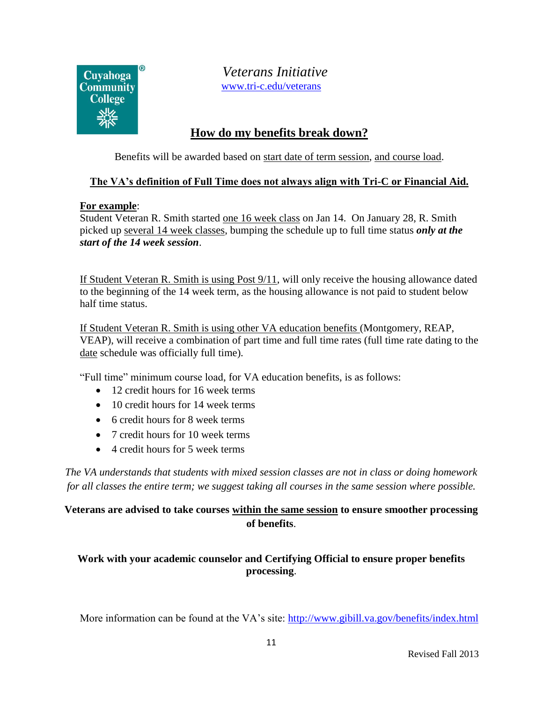

## **How do my benefits break down?**

Benefits will be awarded based on start date of term session, and course load.

#### **The VA's definition of Full Time does not always align with Tri-C or Financial Aid.**

#### **For example**:

Student Veteran R. Smith started one 16 week class on Jan 14. On January 28, R. Smith picked up several 14 week classes, bumping the schedule up to full time status *only at the start of the 14 week session*.

If Student Veteran R. Smith is using Post 9/11, will only receive the housing allowance dated to the beginning of the 14 week term, as the housing allowance is not paid to student below half time status.

If Student Veteran R. Smith is using other VA education benefits (Montgomery, REAP, VEAP), will receive a combination of part time and full time rates (full time rate dating to the date schedule was officially full time).

"Full time" minimum course load, for VA education benefits, is as follows:

- 12 credit hours for 16 week terms
- 10 credit hours for 14 week terms
- 6 credit hours for 8 week terms
- 7 credit hours for 10 week terms
- 4 credit hours for 5 week terms

*The VA understands that students with mixed session classes are not in class or doing homework for all classes the entire term; we suggest taking all courses in the same session where possible.*

#### **Veterans are advised to take courses within the same session to ensure smoother processing of benefits**.

**Work with your academic counselor and Certifying Official to ensure proper benefits processing**.

More information can be found at the VA's site:<http://www.gibill.va.gov/benefits/index.html>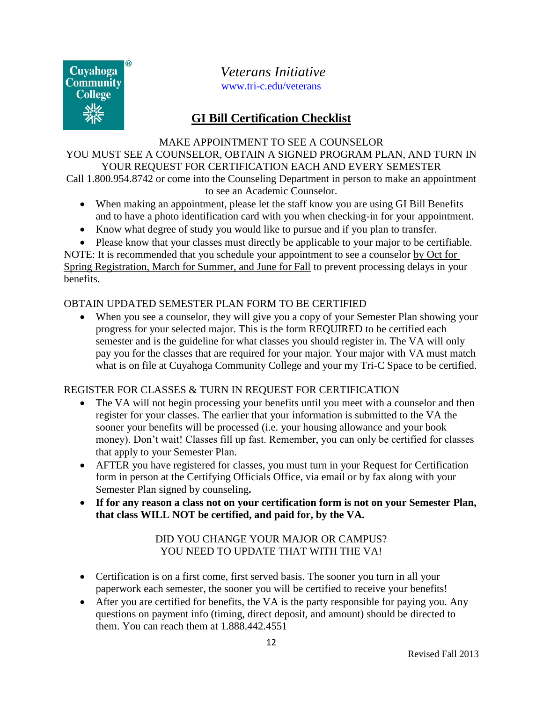

## **GI Bill Certification Checklist**

#### MAKE APPOINTMENT TO SEE A COUNSELOR

#### YOU MUST SEE A COUNSELOR, OBTAIN A SIGNED PROGRAM PLAN, AND TURN IN YOUR REQUEST FOR CERTIFICATION EACH AND EVERY SEMESTER Call 1.800.954.8742 or come into the Counseling Department in person to make an appointment

to see an Academic Counselor.

- When making an appointment, please let the staff know you are using GI Bill Benefits and to have a photo identification card with you when checking-in for your appointment.
- Know what degree of study you would like to pursue and if you plan to transfer.
- Please know that your classes must directly be applicable to your major to be certifiable.

NOTE: It is recommended that you schedule your appointment to see a counselor by Oct for Spring Registration, March for Summer, and June for Fall to prevent processing delays in your benefits.

#### OBTAIN UPDATED SEMESTER PLAN FORM TO BE CERTIFIED

 When you see a counselor, they will give you a copy of your Semester Plan showing your progress for your selected major. This is the form REQUIRED to be certified each semester and is the guideline for what classes you should register in. The VA will only pay you for the classes that are required for your major. Your major with VA must match what is on file at Cuyahoga Community College and your my Tri-C Space to be certified.

#### REGISTER FOR CLASSES & TURN IN REQUEST FOR CERTIFICATION

- The VA will not begin processing your benefits until you meet with a counselor and then register for your classes. The earlier that your information is submitted to the VA the sooner your benefits will be processed (i.e. your housing allowance and your book money). Don't wait! Classes fill up fast. Remember, you can only be certified for classes that apply to your Semester Plan.
- AFTER you have registered for classes, you must turn in your Request for Certification form in person at the Certifying Officials Office, via email or by fax along with your Semester Plan signed by counseling**.**
- **If for any reason a class not on your certification form is not on your Semester Plan, that class WILL NOT be certified, and paid for, by the VA.**

#### DID YOU CHANGE YOUR MAJOR OR CAMPUS? YOU NEED TO UPDATE THAT WITH THE VA!

- Certification is on a first come, first served basis. The sooner you turn in all your paperwork each semester, the sooner you will be certified to receive your benefits!
- After you are certified for benefits, the VA is the party responsible for paying you. Any questions on payment info (timing, direct deposit, and amount) should be directed to them. You can reach them at 1.888.442.4551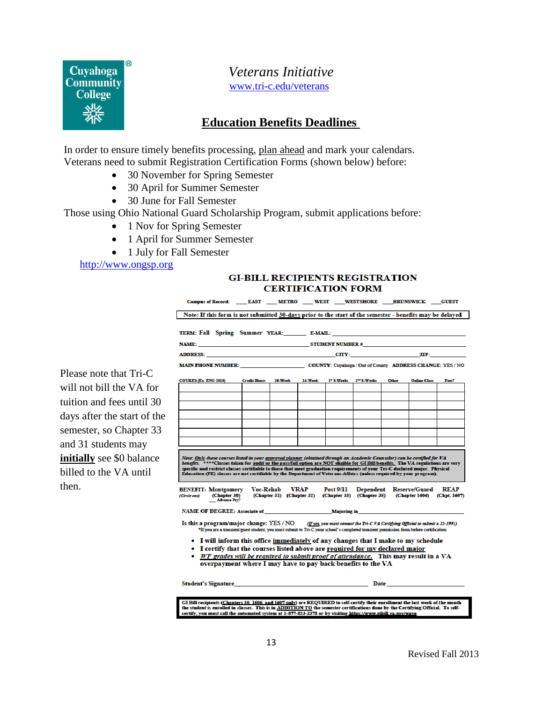

### **Education Benefits Deadlines**

In order to ensure timely benefits processing, plan ahead and mark your calendars. Veterans need to submit Registration Certification Forms (shown below) before:

- 30 November for Spring Semester
- 30 April for Summer Semester
- 30 June for Fall Semester

Those using Ohio National Guard Scholarship Program, submit applications before:

- 1 Nov for Spring Semester
- 1 April for Summer Semester
- 1 July for Fall Semester

[http://www.ongsp.org](http://www.ongsp.org/)

#### **GI-BILL RECIPIENTS REGISTRATION CERTIFICATION FORM**

| TERM: Fall Spring Summer YEAR: E-MAIL: E-MAIL:                                                                                                                                                                                                                                                                                                                                                          |                     |                |                                                                              |           |                       |       |                                                                                                         |             |
|---------------------------------------------------------------------------------------------------------------------------------------------------------------------------------------------------------------------------------------------------------------------------------------------------------------------------------------------------------------------------------------------------------|---------------------|----------------|------------------------------------------------------------------------------|-----------|-----------------------|-------|---------------------------------------------------------------------------------------------------------|-------------|
|                                                                                                                                                                                                                                                                                                                                                                                                         |                     |                |                                                                              |           |                       |       |                                                                                                         |             |
|                                                                                                                                                                                                                                                                                                                                                                                                         |                     |                | NAME: STUDENT NUMBER #<br>ADDRESS: ZIP:                                      |           |                       |       |                                                                                                         |             |
|                                                                                                                                                                                                                                                                                                                                                                                                         |                     |                | MAIN PHONE NUMBER: COUNTY: Cuvahoga / Out of County ADDRESS CHANGE: YES / NO |           |                       |       |                                                                                                         |             |
|                                                                                                                                                                                                                                                                                                                                                                                                         |                     |                |                                                                              |           |                       |       |                                                                                                         |             |
| <b>COURES (Ex. ENG 1010)</b>                                                                                                                                                                                                                                                                                                                                                                            | <b>Credit Hours</b> |                | 16-Week 14-Week                                                              |           | 1" 8-Weeks 2" 8-Weeks | Other | <b>Online Class</b>                                                                                     | Fees?       |
|                                                                                                                                                                                                                                                                                                                                                                                                         |                     |                |                                                                              |           |                       |       |                                                                                                         |             |
|                                                                                                                                                                                                                                                                                                                                                                                                         |                     |                |                                                                              |           |                       |       |                                                                                                         |             |
|                                                                                                                                                                                                                                                                                                                                                                                                         |                     |                |                                                                              |           |                       |       |                                                                                                         |             |
|                                                                                                                                                                                                                                                                                                                                                                                                         |                     |                |                                                                              |           |                       |       |                                                                                                         |             |
|                                                                                                                                                                                                                                                                                                                                                                                                         |                     |                |                                                                              |           |                       |       |                                                                                                         |             |
|                                                                                                                                                                                                                                                                                                                                                                                                         |                     |                |                                                                              |           |                       |       |                                                                                                         |             |
| Note: Only those courses listed in your approved planner (obtained through an Academic Counselor) can be certified for VA                                                                                                                                                                                                                                                                               |                     |                |                                                                              |           |                       |       |                                                                                                         |             |
| benefits. **** Classes taken for audit or the pass/fail option are NOT eligible for GI Bill benefits. The VA regulations are very<br>specific and restrict classes certifiable to those that meet graduation requirements of your Tri-C declared major. Physical<br>Education (PE) classes are not certifiable by the Department of Veterans Affairs (unless required by your program).<br>Advance Pay? |                     | Voc-Rehab VRAP |                                                                              | Post 9/11 | Dependent             |       | <b>Reserve/Guard</b><br>(Chapter 31) (Chapter 32) (Chapter 33) (Chapter 35) (Chapter 1606) (Chpt. 1607) | <b>REAP</b> |
| NAME OF DEGREE: Associate of the manufacturer of Majoring in                                                                                                                                                                                                                                                                                                                                            |                     |                |                                                                              |           |                       |       |                                                                                                         |             |
| <b>BENEFIT: Montgomery</b><br>(Circle one) (Chapter 30)<br>Is this a program/major change: YES / NO (If yes, you must contact the Tri-CVA Certifying Official to submit a 22-1995)<br>*If you are a transient/guest student, you must submit to Tri-C your school's completed transient permission form before certification                                                                            |                     |                |                                                                              |           |                       |       |                                                                                                         |             |

GI Bill recipients (Chapters 30, 1606, and 1607 only) are REQUIRED to self-certify their enrollment the last week of the month<br>the student is enrolled in classes. This is in <u>ADDITION TO</u> the semester certifications done b

Please note that Tri-C will not bill the VA for tuition and fees until 30 days after the start of the semester, so Chapter 33 and 31 students may **initially** see \$0 balance billed to the VA until then.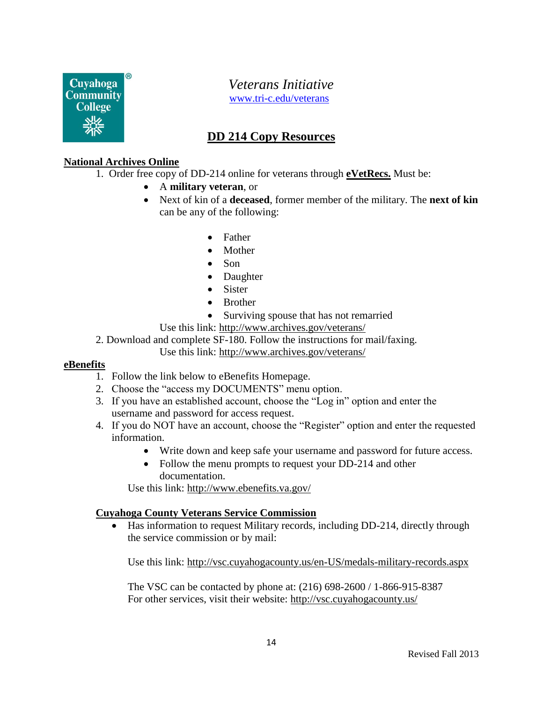

## **DD 214 Copy Resources**

#### **National Archives Online**

- 1. Order free copy of DD-214 online for veterans through **eVetRecs.** Must be:
	- A **military veteran**, or
	- Next of kin of a **deceased**, former member of the military. The **next of kin** can be any of the following:
		- Father
		- Mother
		- Son
		- Daughter
		- Sister
		- Brother
		- Surviving spouse that has not remarried

Use this link:<http://www.archives.gov/veterans/>

2. Download and complete SF-180. Follow the instructions for mail/faxing.

Use this link:<http://www.archives.gov/veterans/>

#### **eBenefits**

- 1. Follow the link below to eBenefits Homepage.
- 2. Choose the "access my DOCUMENTS" menu option.
- 3. If you have an established account, choose the "Log in" option and enter the username and password for access request.
- 4. If you do NOT have an account, choose the "Register" option and enter the requested information.
	- Write down and keep safe your username and password for future access.
	- Follow the menu prompts to request your DD-214 and other documentation.

Use this link:<http://www.ebenefits.va.gov/>

#### **Cuyahoga County Veterans Service Commission**

• Has information to request Military records, including DD-214, directly through the service commission or by mail:

Use this link:<http://vsc.cuyahogacounty.us/en-US/medals-military-records.aspx>

The VSC can be contacted by phone at: (216) 698-2600 / 1-866-915-8387 For other services, visit their website:<http://vsc.cuyahogacounty.us/>